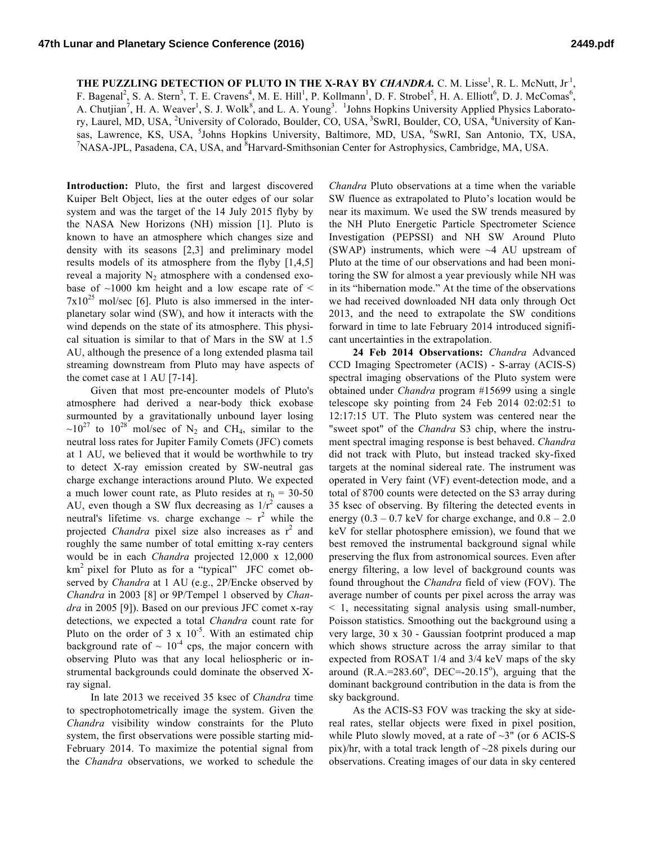**THE PUZZLING DETECTION OF PLUTO IN THE X-RAY BY** *CHANDRA***.** C. M. Lisse<sup>1</sup>, R. L. McNutt, Jr<sup>1</sup>, F. Bagenal<sup>2</sup>, S. A. Stern<sup>3</sup>, T. E. Cravens<sup>4</sup>, M. E. Hill<sup>1</sup>, P. Kollmann<sup>1</sup>, D. F. Strobel<sup>5</sup>, H. A. Elliott<sup>6</sup>, D. J. McComas<sup>6</sup>, A. Chutjian<sup>7</sup>, H. A. Weaver<sup>1</sup>, S. J. Wolk<sup>8</sup>, and L. A. Young<sup>3</sup>. <sup>1</sup>Johns Hopkins University Applied Physics Laboratory, Laurel, MD, USA, <sup>2</sup>University of Colorado, Boulder, CO, USA, <sup>3</sup>SwRI, Boulder, CO, USA, <sup>4</sup>University of Kansas, Lawrence, KS, USA, <sup>5</sup>Johns Hopkins University, Baltimore, MD, USA, <sup>6</sup>SwRI, San Antonio, TX, USA, <sup>7</sup>NASA, IDL, Readers, CA, USA, 7NASA, IDL, Readers, CA, USA, NASA-JPL, Pasadena, CA, USA, and <sup>8</sup>Harvard-Smithsonian Center for Astrophysics, Cambridge, MA, USA.

**Introduction:** Pluto, the first and largest discovered Kuiper Belt Object, lies at the outer edges of our solar system and was the target of the 14 July 2015 flyby by the NASA New Horizons (NH) mission [1]. Pluto is known to have an atmosphere which changes size and density with its seasons [2,3] and preliminary model results models of its atmosphere from the flyby [1,4,5] reveal a majority  $N_2$  atmosphere with a condensed exobase of  $\sim$ 1000 km height and a low escape rate of  $\le$  $7x10^{25}$  mol/sec [6]. Pluto is also immersed in the interplanetary solar wind (SW), and how it interacts with the wind depends on the state of its atmosphere. This physical situation is similar to that of Mars in the SW at 1.5 AU, although the presence of a long extended plasma tail streaming downstream from Pluto may have aspects of the comet case at 1 AU [7-14].

Given that most pre-encounter models of Pluto's atmosphere had derived a near-body thick exobase surmounted by a gravitationally unbound layer losing  $\sim 10^{27}$  to  $10^{28}$  mol/sec of N<sub>2</sub> and CH<sub>4</sub>, similar to the neutral loss rates for Jupiter Family Comets (JFC) comets at 1 AU, we believed that it would be worthwhile to try to detect X-ray emission created by SW-neutral gas charge exchange interactions around Pluto. We expected a much lower count rate, as Pluto resides at  $r_h = 30-50$ AU, even though a SW flux decreasing as  $1/r^2$  causes a neutral's lifetime vs. charge exchange  $\sim r^2$  while the projected *Chandra* pixel size also increases as r<sup>2</sup> and roughly the same number of total emitting x-ray centers would be in each *Chandra* projected 12,000 x 12,000  $km<sup>2</sup>$  pixel for Pluto as for a "typical" JFC comet observed by *Chandra* at 1 AU (e.g., 2P/Encke observed by *Chandra* in 2003 [8] or 9P/Tempel 1 observed by *Chandra* in 2005 [9]). Based on our previous JFC comet x-ray detections, we expected a total *Chandra* count rate for Pluto on the order of  $3 \times 10^{-5}$ . With an estimated chip background rate of  $\sim 10^{-4}$  cps, the major concern with observing Pluto was that any local heliospheric or instrumental backgrounds could dominate the observed Xray signal.

In late 2013 we received 35 ksec of *Chandra* time to spectrophotometrically image the system. Given the *Chandra* visibility window constraints for the Pluto system, the first observations were possible starting mid-February 2014. To maximize the potential signal from the *Chandra* observations, we worked to schedule the *Chandra* Pluto observations at a time when the variable SW fluence as extrapolated to Pluto's location would be near its maximum. We used the SW trends measured by the NH Pluto Energetic Particle Spectrometer Science Investigation (PEPSSI) and NH SW Around Pluto (SWAP) instruments, which were  $\sim$ 4 AU upstream of Pluto at the time of our observations and had been monitoring the SW for almost a year previously while NH was in its "hibernation mode." At the time of the observations we had received downloaded NH data only through Oct 2013, and the need to extrapolate the SW conditions forward in time to late February 2014 introduced significant uncertainties in the extrapolation.

**24 Feb 2014 Observations:** *Chandra* Advanced CCD Imaging Spectrometer (ACIS) - S-array (ACIS-S) spectral imaging observations of the Pluto system were obtained under *Chandra* program #15699 using a single telescope sky pointing from 24 Feb 2014 02:02:51 to 12:17:15 UT. The Pluto system was centered near the "sweet spot" of the *Chandra* S3 chip, where the instrument spectral imaging response is best behaved. *Chandra* did not track with Pluto, but instead tracked sky-fixed targets at the nominal sidereal rate. The instrument was operated in Very faint (VF) event-detection mode, and a total of 8700 counts were detected on the S3 array during 35 ksec of observing. By filtering the detected events in energy  $(0.3 - 0.7 \text{ keV}$  for charge exchange, and  $0.8 - 2.0$ keV for stellar photosphere emission), we found that we best removed the instrumental background signal while preserving the flux from astronomical sources. Even after energy filtering, a low level of background counts was found throughout the *Chandra* field of view (FOV). The average number of counts per pixel across the array was < 1, necessitating signal analysis using small-number, Poisson statistics. Smoothing out the background using a very large, 30 x 30 - Gaussian footprint produced a map which shows structure across the array similar to that expected from ROSAT 1/4 and 3/4 keV maps of the sky around  $(R.A.=283.60^{\circ}, DEC=-20.15^{\circ})$ , arguing that the dominant background contribution in the data is from the sky background.

As the ACIS-S3 FOV was tracking the sky at sidereal rates, stellar objects were fixed in pixel position, while Pluto slowly moved, at a rate of  $\sim 3$ " (or 6 ACIS-S pix)/hr, with a total track length of  $\sim$ 28 pixels during our observations. Creating images of our data in sky centered